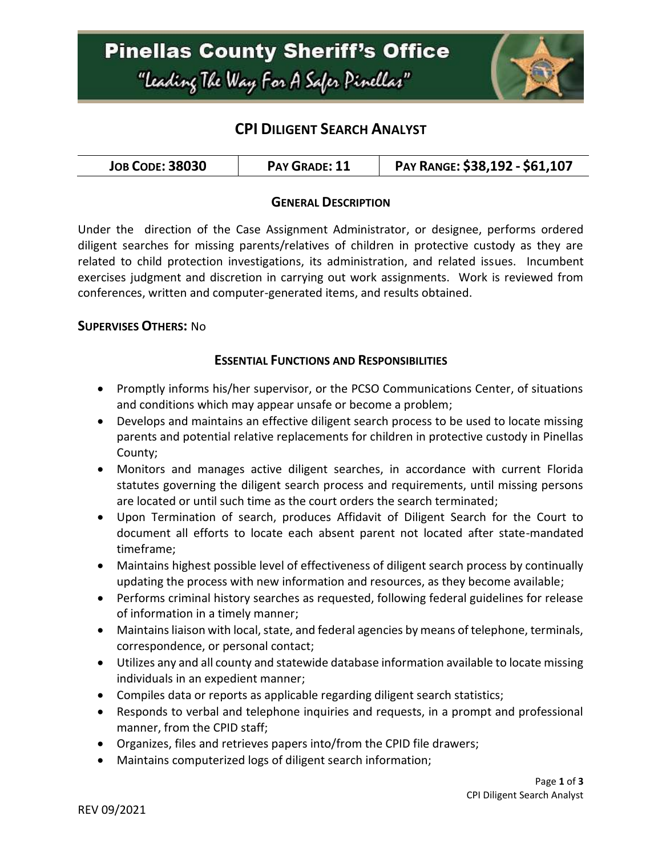## **Pinellas County Sheriff's Office** "Leading The Way For A Safer Pinellar"



### **CPI DILIGENT SEARCH ANALYST**

| <b>JOB CODE: 38030</b><br>PAY GRADE: 11 | PAY RANGE: \$38,192 - \$61,107 |
|-----------------------------------------|--------------------------------|
|-----------------------------------------|--------------------------------|

### **GENERAL DESCRIPTION**

Under the direction of the Case Assignment Administrator, or designee, performs ordered diligent searches for missing parents/relatives of children in protective custody as they are related to child protection investigations, its administration, and related issues. Incumbent exercises judgment and discretion in carrying out work assignments. Work is reviewed from conferences, written and computer-generated items, and results obtained.

#### **SUPERVISES OTHERS:** No

### **ESSENTIAL FUNCTIONS AND RESPONSIBILITIES**

- Promptly informs his/her supervisor, or the PCSO Communications Center, of situations and conditions which may appear unsafe or become a problem;
- Develops and maintains an effective diligent search process to be used to locate missing parents and potential relative replacements for children in protective custody in Pinellas County;
- Monitors and manages active diligent searches, in accordance with current Florida statutes governing the diligent search process and requirements, until missing persons are located or until such time as the court orders the search terminated;
- Upon Termination of search, produces Affidavit of Diligent Search for the Court to document all efforts to locate each absent parent not located after state-mandated timeframe;
- Maintains highest possible level of effectiveness of diligent search process by continually updating the process with new information and resources, as they become available;
- Performs criminal history searches as requested, following federal guidelines for release of information in a timely manner;
- Maintains liaison with local, state, and federal agencies by means of telephone, terminals, correspondence, or personal contact;
- Utilizes any and all county and statewide database information available to locate missing individuals in an expedient manner;
- Compiles data or reports as applicable regarding diligent search statistics;
- Responds to verbal and telephone inquiries and requests, in a prompt and professional manner, from the CPID staff;
- Organizes, files and retrieves papers into/from the CPID file drawers;
- Maintains computerized logs of diligent search information;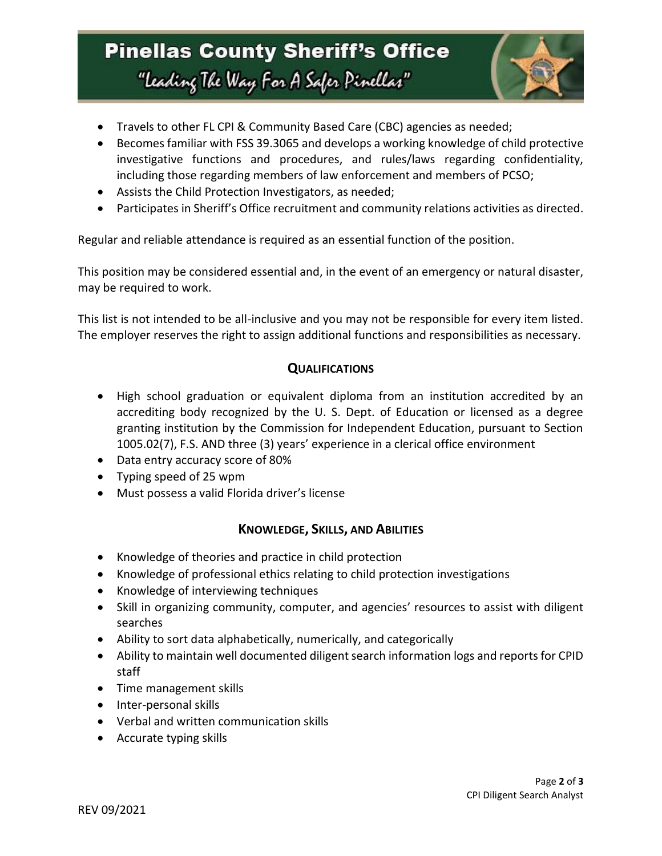## **Pinellas County Sheriff's Office** "Leading The Way For A Safer Pinellar"



- Travels to other FL CPI & Community Based Care (CBC) agencies as needed;
- Becomes familiar with FSS 39.3065 and develops a working knowledge of child protective investigative functions and procedures, and rules/laws regarding confidentiality, including those regarding members of law enforcement and members of PCSO;
- Assists the Child Protection Investigators, as needed;
- Participates in Sheriff's Office recruitment and community relations activities as directed.

Regular and reliable attendance is required as an essential function of the position.

This position may be considered essential and, in the event of an emergency or natural disaster, may be required to work.

This list is not intended to be all-inclusive and you may not be responsible for every item listed. The employer reserves the right to assign additional functions and responsibilities as necessary.

### **QUALIFICATIONS**

- High school graduation or equivalent diploma from an institution accredited by an accrediting body recognized by the U. S. Dept. of Education or licensed as a degree granting institution by the Commission for Independent Education, pursuant to Section 1005.02(7), F.S. AND three (3) years' experience in a clerical office environment
- Data entry accuracy score of 80%
- Typing speed of 25 wpm
- Must possess a valid Florida driver's license

### **KNOWLEDGE, SKILLS, AND ABILITIES**

- Knowledge of theories and practice in child protection
- Knowledge of professional ethics relating to child protection investigations
- Knowledge of interviewing techniques
- Skill in organizing community, computer, and agencies' resources to assist with diligent searches
- Ability to sort data alphabetically, numerically, and categorically
- Ability to maintain well documented diligent search information logs and reports for CPID staff
- Time management skills
- Inter-personal skills
- Verbal and written communication skills
- Accurate typing skills